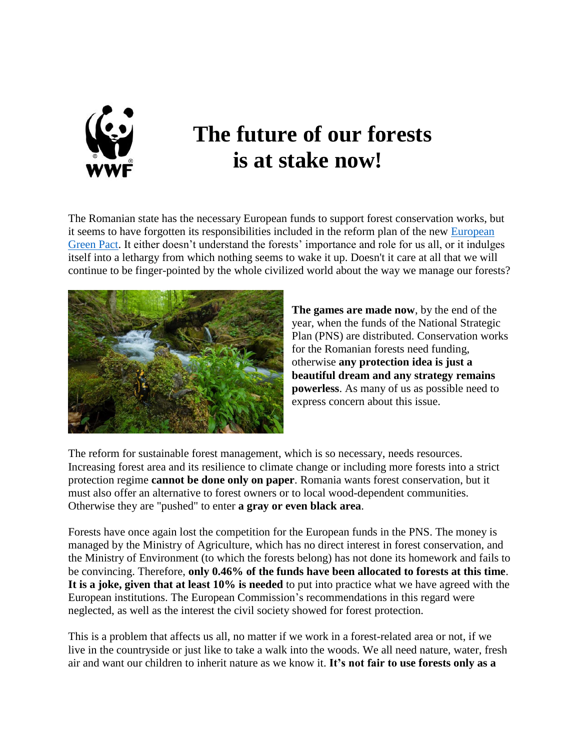

## **The future of our forests is at stake now!**

The Romanian state has the necessary European funds to support forest conservation works, but it seems to have forgotten its responsibilities included in the reform plan of the new [European](https://eur-lex.europa.eu/legal-content/EN/TXT/HTML/?uri=CELEX:52021DC0572&from=EN)  [Green Pact.](https://eur-lex.europa.eu/legal-content/EN/TXT/HTML/?uri=CELEX:52021DC0572&from=EN) It either doesn't understand the forests' importance and role for us all, or it indulges itself into a lethargy from which nothing seems to wake it up. Doesn't it care at all that we will continue to be finger-pointed by the whole civilized world about the way we manage our forests?



**The games are made now**, by the end of the year, when the funds of the National Strategic Plan (PNS) are distributed. Conservation works for the Romanian forests need funding, otherwise **any protection idea is just a beautiful dream and any strategy remains powerless**. As many of us as possible need to express concern about this issue.

The reform for sustainable forest management, which is so necessary, needs resources. Increasing forest area and its resilience to climate change or including more forests into a strict protection regime **cannot be done only on paper**. Romania wants forest conservation, but it must also offer an alternative to forest owners or to local wood-dependent communities. Otherwise they are "pushed" to enter **a gray or even black area**.

Forests have once again lost the competition for the European funds in the PNS. The money is managed by the Ministry of Agriculture, which has no direct interest in forest conservation, and the Ministry of Environment (to which the forests belong) has not done its homework and fails to be convincing. Therefore, **only 0.46% of the funds have been allocated to forests at this time**. **It is a joke, given that at least 10% is needed** to put into practice what we have agreed with the European institutions. The European Commission's recommendations in this regard were neglected, as well as the interest the civil society showed for forest protection.

This is a problem that affects us all, no matter if we work in a forest-related area or not, if we live in the countryside or just like to take a walk into the woods. We all need nature, water, fresh air and want our children to inherit nature as we know it. **It's not fair to use forests only as a**